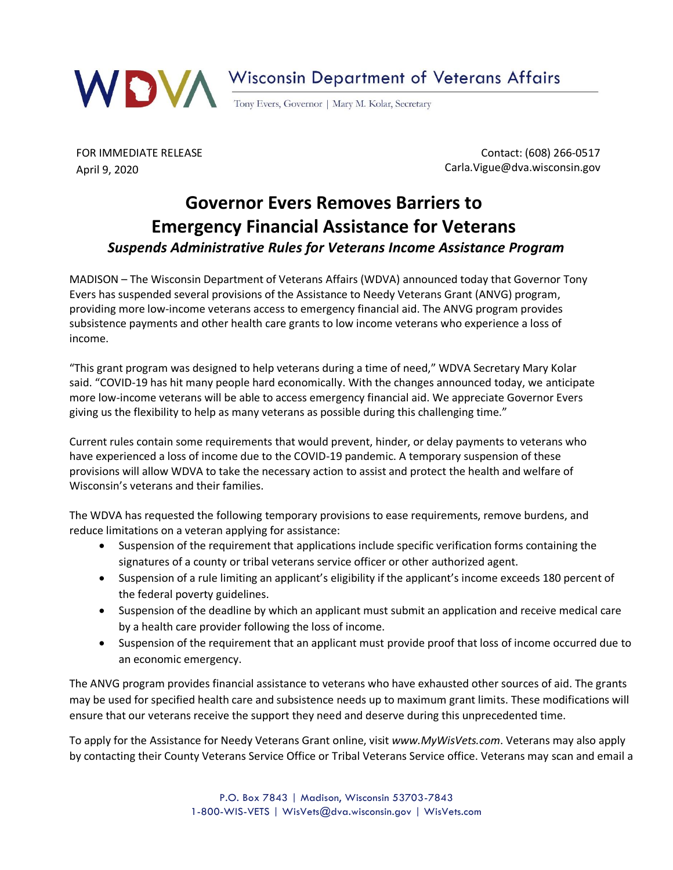

FOR IMMEDIATE RELEASE April 9, 2020

Contact: (608) 266-0517 Carla.Vigue@dva.wisconsin.gov

## **Governor Evers Removes Barriers to Emergency Financial Assistance for Veterans** *Suspends Administrative Rules for Veterans Income Assistance Program*

MADISON – The Wisconsin Department of Veterans Affairs (WDVA) announced today that Governor Tony Evers has suspended several provisions of the Assistance to Needy Veterans Grant (ANVG) program, providing more low-income veterans access to emergency financial aid. The ANVG program provides subsistence payments and other health care grants to low income veterans who experience a loss of income.

"This grant program was designed to help veterans during a time of need," WDVA Secretary Mary Kolar said. "COVID-19 has hit many people hard economically. With the changes announced today, we anticipate more low-income veterans will be able to access emergency financial aid. We appreciate Governor Evers giving us the flexibility to help as many veterans as possible during this challenging time."

Current rules contain some requirements that would prevent, hinder, or delay payments to veterans who have experienced a loss of income due to the COVID-19 pandemic. A temporary suspension of these provisions will allow WDVA to take the necessary action to assist and protect the health and welfare of Wisconsin's veterans and their families.

The WDVA has requested the following temporary provisions to ease requirements, remove burdens, and reduce limitations on a veteran applying for assistance:

- Suspension of the requirement that applications include specific verification forms containing the signatures of a county or tribal veterans service officer or other authorized agent.
- Suspension of a rule limiting an applicant's eligibility if the applicant's income exceeds 180 percent of the federal poverty guidelines.
- Suspension of the deadline by which an applicant must submit an application and receive medical care by a health care provider following the loss of income.
- Suspension of the requirement that an applicant must provide proof that loss of income occurred due to an economic emergency.

The ANVG program provides financial assistance to veterans who have exhausted other sources of aid. The grants may be used for specified health care and subsistence needs up to maximum grant limits. These modifications will ensure that our veterans receive the support they need and deserve during this unprecedented time.

To apply for the Assistance for Needy Veterans Grant online, visit *[www.MyWisVets.com](http://www.mywisvets.com/)*. Veterans may also apply by contacting their County Veterans Service Office or Tribal Veterans Service office. Veterans may scan and email a